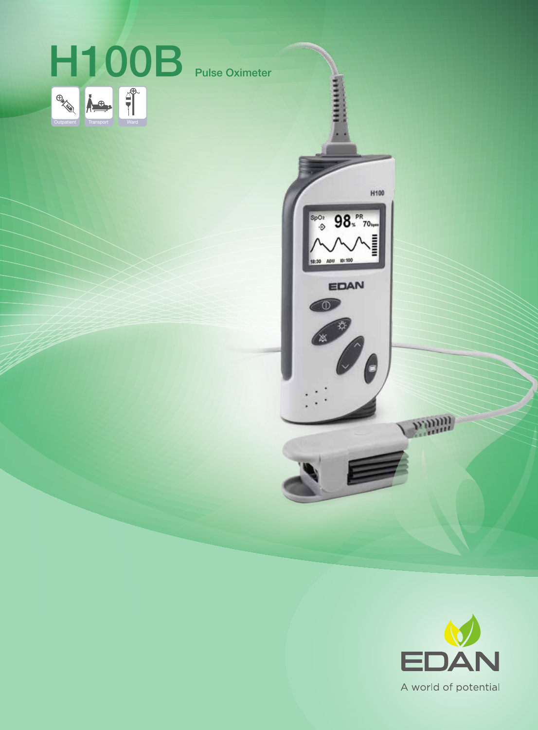



winn

H100

 $\boldsymbol{\theta}$ 

98.PR<sub>70</sub>

EDAN

 $\frac{2000}{2}$ 

18:30 ADU 10:100

O

A world of potential